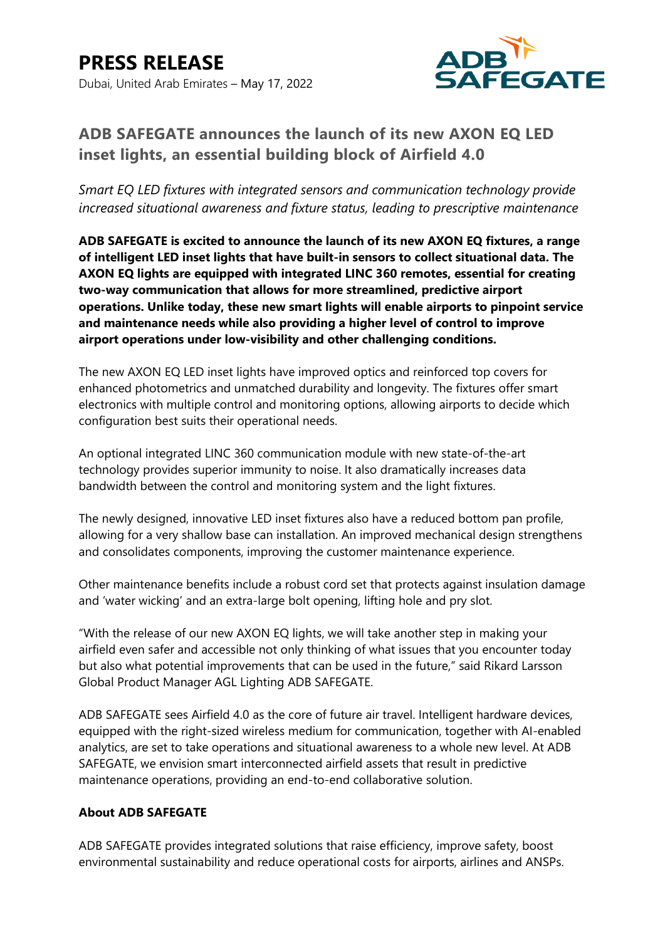

## **ADB SAFEGATE announces the launch of its new AXON EQ LED inset lights, an essential building block of Airfield 4.0**

*Smart EQ LED fixtures with integrated sensors and communication technology provide increased situational awareness and fixture status, leading to prescriptive maintenance*

**ADB SAFEGATE is excited to announce the launch of its new AXON EQ fixtures, a range of intelligent LED inset lights that have built-in sensors to collect situational data. The AXON EQ lights are equipped with integrated LINC 360 remotes, essential for creating two-way communication that allows for more streamlined, predictive airport operations. Unlike today, these new smart lights will enable airports to pinpoint service and maintenance needs while also providing a higher level of control to improve airport operations under low-visibility and other challenging conditions.**

The new AXON EQ LED inset lights have improved optics and reinforced top covers for enhanced photometrics and unmatched durability and longevity. The fixtures offer smart electronics with multiple control and monitoring options, allowing airports to decide which configuration best suits their operational needs.

An optional integrated LINC 360 communication module with new state-of-the-art technology provides superior immunity to noise. It also dramatically increases data bandwidth between the control and monitoring system and the light fixtures.

The newly designed, innovative LED inset fixtures also have a reduced bottom pan profile, allowing for a very shallow base can installation. An improved mechanical design strengthens and consolidates components, improving the customer maintenance experience.

Other maintenance benefits include a robust cord set that protects against insulation damage and 'water wicking' and an extra-large bolt opening, lifting hole and pry slot.

"With the release of our new AXON EQ lights, we will take another step in making your airfield even safer and accessible not only thinking of what issues that you encounter today but also what potential improvements that can be used in the future," said Rikard Larsson Global Product Manager AGL Lighting ADB SAFEGATE.

ADB SAFEGATE sees Airfield 4.0 as the core of future air travel. Intelligent hardware devices, equipped with the right-sized wireless medium for communication, together with AI-enabled analytics, are set to take operations and situational awareness to a whole new level. At ADB SAFEGATE, we envision smart interconnected airfield assets that result in predictive maintenance operations, providing an end-to-end collaborative solution.

## **About ADB SAFEGATE**

ADB SAFEGATE provides integrated solutions that raise efficiency, improve safety, boost environmental sustainability and reduce operational costs for airports, airlines and ANSPs.